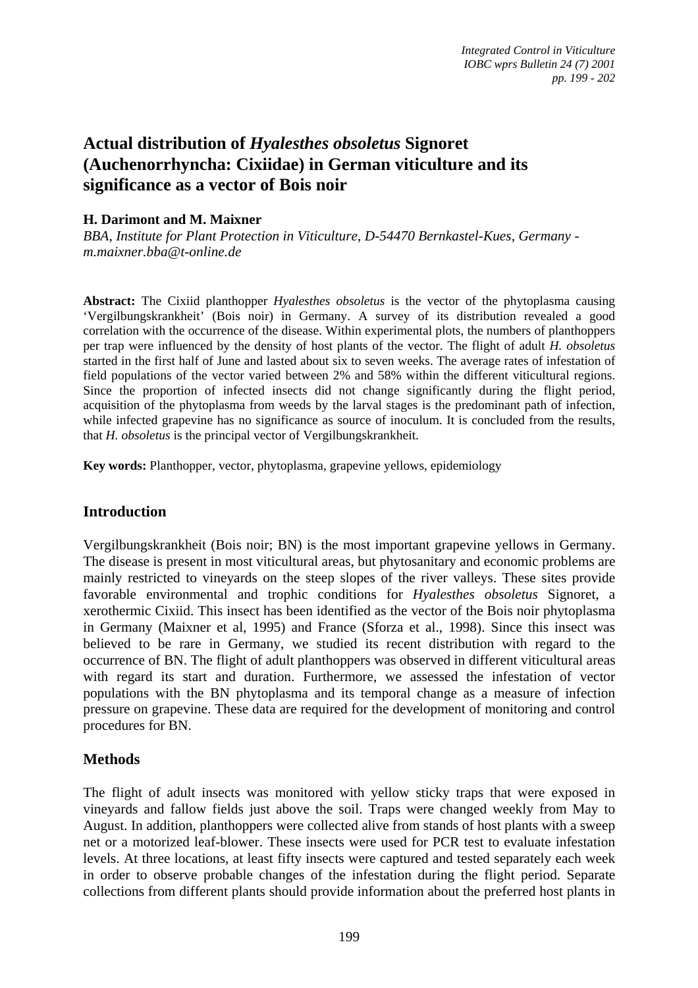# **Actual distribution of** *Hyalesthes obsoletus* **Signoret (Auchenorrhyncha: Cixiidae) in German viticulture and its significance as a vector of Bois noir**

# **H. Darimont and M. Maixner**

*BBA, Institute for Plant Protection in Viticulture, D-54470 Bernkastel-Kues, Germany m.maixner.bba@t-online.de* 

**Abstract:** The Cixiid planthopper *Hyalesthes obsoletus* is the vector of the phytoplasma causing 'Vergilbungskrankheit' (Bois noir) in Germany. A survey of its distribution revealed a good correlation with the occurrence of the disease. Within experimental plots, the numbers of planthoppers per trap were influenced by the density of host plants of the vector. The flight of adult *H. obsoletus* started in the first half of June and lasted about six to seven weeks. The average rates of infestation of field populations of the vector varied between 2% and 58% within the different viticultural regions. Since the proportion of infected insects did not change significantly during the flight period, acquisition of the phytoplasma from weeds by the larval stages is the predominant path of infection, while infected grapevine has no significance as source of inoculum. It is concluded from the results, that *H. obsoletus* is the principal vector of Vergilbungskrankheit.

**Key words:** Planthopper, vector, phytoplasma, grapevine yellows, epidemiology

## **Introduction**

Vergilbungskrankheit (Bois noir; BN) is the most important grapevine yellows in Germany. The disease is present in most viticultural areas, but phytosanitary and economic problems are mainly restricted to vineyards on the steep slopes of the river valleys. These sites provide favorable environmental and trophic conditions for *Hyalesthes obsoletus* Signoret, a xerothermic Cixiid. This insect has been identified as the vector of the Bois noir phytoplasma in Germany (Maixner et al, 1995) and France (Sforza et al., 1998). Since this insect was believed to be rare in Germany, we studied its recent distribution with regard to the occurrence of BN. The flight of adult planthoppers was observed in different viticultural areas with regard its start and duration. Furthermore, we assessed the infestation of vector populations with the BN phytoplasma and its temporal change as a measure of infection pressure on grapevine. These data are required for the development of monitoring and control procedures for BN.

# **Methods**

The flight of adult insects was monitored with yellow sticky traps that were exposed in vineyards and fallow fields just above the soil. Traps were changed weekly from May to August. In addition, planthoppers were collected alive from stands of host plants with a sweep net or a motorized leaf-blower. These insects were used for PCR test to evaluate infestation levels. At three locations, at least fifty insects were captured and tested separately each week in order to observe probable changes of the infestation during the flight period. Separate collections from different plants should provide information about the preferred host plants in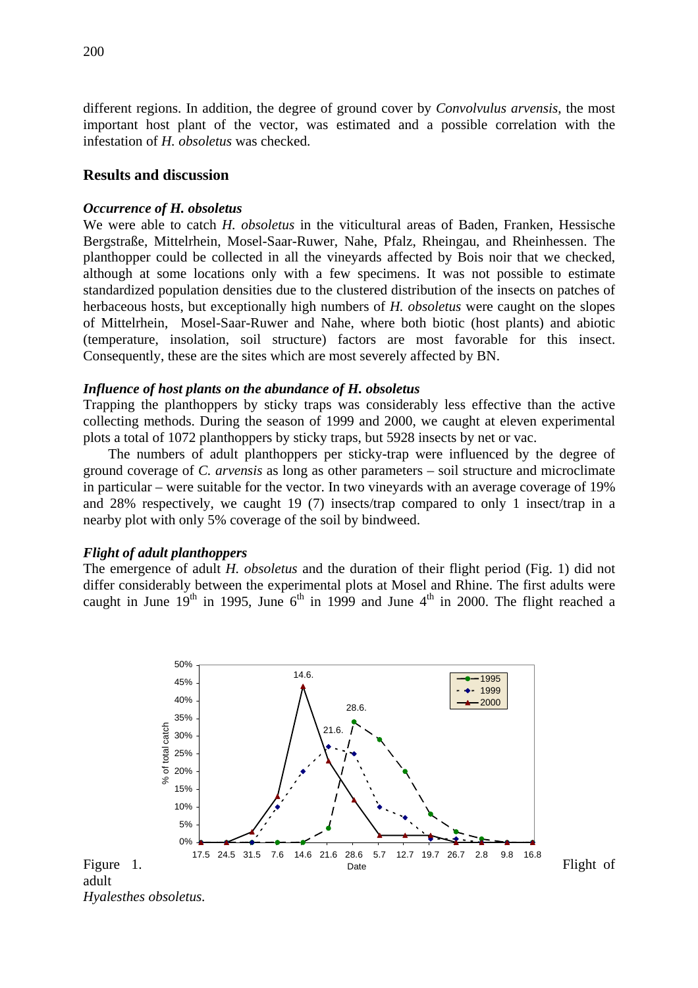different regions. In addition, the degree of ground cover by *Convolvulus arvensis*, the most important host plant of the vector, was estimated and a possible correlation with the infestation of *H. obsoletus* was checked.

### **Results and discussion**

### *Occurrence of H. obsoletus*

We were able to catch *H. obsoletus* in the viticultural areas of Baden, Franken, Hessische Bergstraße, Mittelrhein, Mosel-Saar-Ruwer, Nahe, Pfalz, Rheingau, and Rheinhessen. The planthopper could be collected in all the vineyards affected by Bois noir that we checked, although at some locations only with a few specimens. It was not possible to estimate standardized population densities due to the clustered distribution of the insects on patches of herbaceous hosts, but exceptionally high numbers of *H. obsoletus* were caught on the slopes of Mittelrhein, Mosel-Saar-Ruwer and Nahe, where both biotic (host plants) and abiotic (temperature, insolation, soil structure) factors are most favorable for this insect. Consequently, these are the sites which are most severely affected by BN.

#### *Influence of host plants on the abundance of H. obsoletus*

Trapping the planthoppers by sticky traps was considerably less effective than the active collecting methods. During the season of 1999 and 2000, we caught at eleven experimental plots a total of 1072 planthoppers by sticky traps, but 5928 insects by net or vac.

The numbers of adult planthoppers per sticky-trap were influenced by the degree of ground coverage of *C. arvensis* as long as other parameters – soil structure and microclimate in particular – were suitable for the vector. In two vineyards with an average coverage of 19% and 28% respectively, we caught 19 (7) insects/trap compared to only 1 insect/trap in a nearby plot with only 5% coverage of the soil by bindweed.

#### *Flight of adult planthoppers*

The emergence of adult *H. obsoletus* and the duration of their flight period (Fig. 1) did not differ considerably between the experimental plots at Mosel and Rhine. The first adults were caught in June  $19<sup>th</sup>$  in 1995, June  $6<sup>th</sup>$  in 1999 and June  $4<sup>th</sup>$  in 2000. The flight reached a

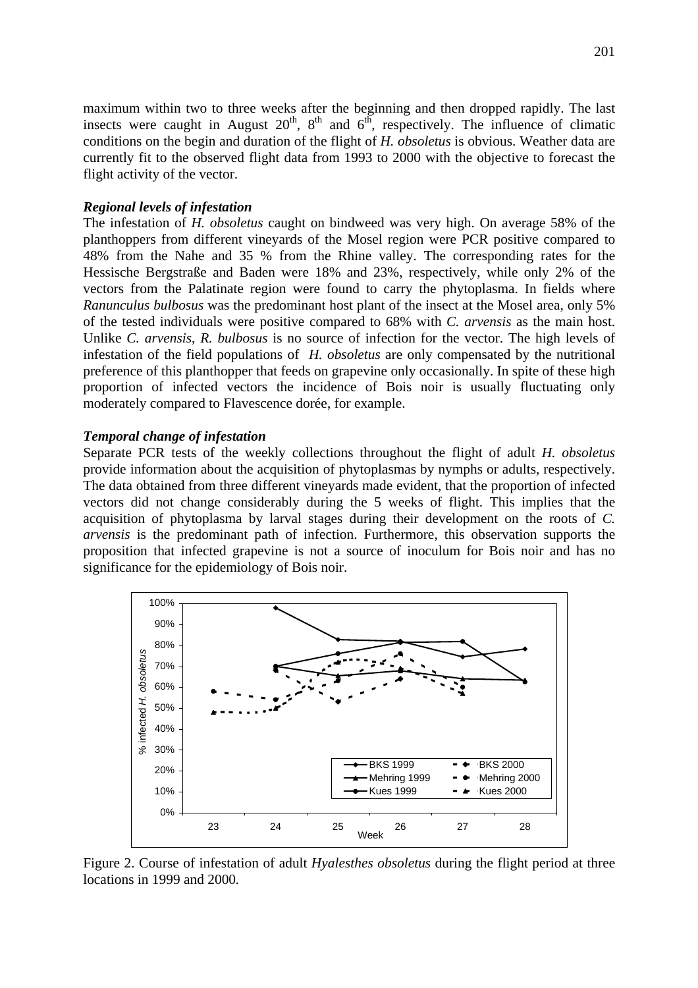maximum within two to three weeks after the beginning and then dropped rapidly. The last insects were caught in August  $20<sup>th</sup>$ ,  $8<sup>th</sup>$  and  $6<sup>th</sup>$ , respectively. The influence of climatic conditions on the begin and duration of the flight of *H. obsoletus* is obvious. Weather data are currently fit to the observed flight data from 1993 to 2000 with the objective to forecast the flight activity of the vector.

### *Regional levels of infestation*

The infestation of *H. obsoletus* caught on bindweed was very high. On average 58% of the planthoppers from different vineyards of the Mosel region were PCR positive compared to 48% from the Nahe and 35 % from the Rhine valley. The corresponding rates for the Hessische Bergstraße and Baden were 18% and 23%, respectively, while only 2% of the vectors from the Palatinate region were found to carry the phytoplasma. In fields where *Ranunculus bulbosus* was the predominant host plant of the insect at the Mosel area, only 5% of the tested individuals were positive compared to 68% with *C. arvensis* as the main host. Unlike *C. arvensis*, *R. bulbosus* is no source of infection for the vector. The high levels of infestation of the field populations of *H. obsoletus* are only compensated by the nutritional preference of this planthopper that feeds on grapevine only occasionally. In spite of these high proportion of infected vectors the incidence of Bois noir is usually fluctuating only moderately compared to Flavescence dorée, for example.

### *Temporal change of infestation*

Separate PCR tests of the weekly collections throughout the flight of adult *H. obsoletus* provide information about the acquisition of phytoplasmas by nymphs or adults, respectively. The data obtained from three different vineyards made evident, that the proportion of infected vectors did not change considerably during the 5 weeks of flight. This implies that the acquisition of phytoplasma by larval stages during their development on the roots of *C. arvensis* is the predominant path of infection. Furthermore, this observation supports the proposition that infected grapevine is not a source of inoculum for Bois noir and has no significance for the epidemiology of Bois noir.



Figure 2. Course of infestation of adult *Hyalesthes obsoletus* during the flight period at three locations in 1999 and 2000*.*